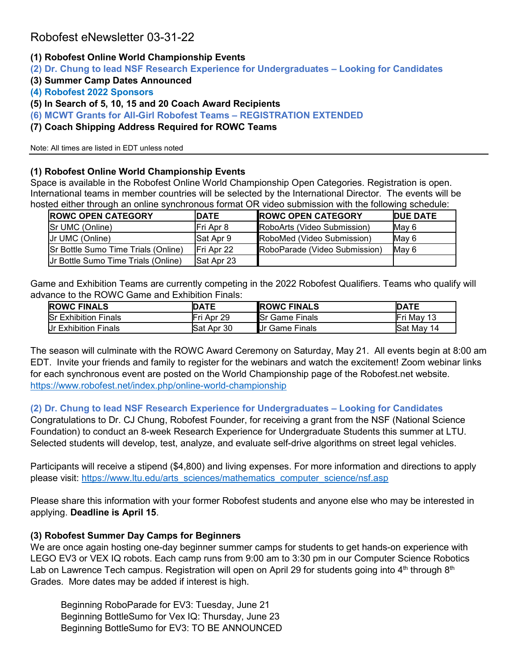## **(1) Robofest Online World Championship Events**

- **(2) Dr. Chung to lead NSF Research Experience for Undergraduates – Looking for Candidates**
- **(3) Summer Camp Dates Announced**
- **(4) Robofest 2022 Sponsors**
- **(5) In Search of 5, 10, 15 and 20 Coach Award Recipients**
- **(6) MCWT Grants for All-Girl Robofest Teams – REGISTRATION EXTENDED**
- **(7) Coach Shipping Address Required for ROWC Teams**

Note: All times are listed in EDT unless noted

#### **(1) Robofest Online World Championship Events**

Space is available in the Robofest Online World Championship Open Categories. Registration is open. International teams in member countries will be selected by the International Director. The events will be hosted either through an online synchronous format OR video submission with the following schedule:

| <b>ROWC OPEN CATEGORY</b>                  | <b>IDATE</b>       | <b>ROWC OPEN CATEGORY</b>     | <b>DUE DATE</b> |
|--------------------------------------------|--------------------|-------------------------------|-----------------|
| <b>Sr UMC (Online)</b>                     | Fri Apr 8          | RoboArts (Video Submission)   | Mav 6           |
| Ur UMC (Online)                            | <b>Sat Apr 9</b>   | RoboMed (Video Submission)    | Mav 6           |
| <b>Sr Bottle Sumo Time Trials (Online)</b> | <b>IFri Apr 22</b> | RoboParade (Video Submission) | Mav 6           |
| Ur Bottle Sumo Time Trials (Online)        | Sat Apr 23         |                               |                 |

Game and Exhibition Teams are currently competing in the 2022 Robofest Qualifiers. Teams who qualify will advance to the ROWC Game and Exhibition Finals:

| <b>ROWC FINALS</b>          | <b>DATE</b>       | <b>ROWC FINALS</b>     | <b>IDATE</b>       |
|-----------------------------|-------------------|------------------------|--------------------|
| <b>Sr Exhibition Finals</b> | <b>Fri Apr 29</b> | <b>S</b> r Game Finals | <b>IFri May 13</b> |
| <b>Ur Exhibition Finals</b> | Sat Apr 30        | <b>J</b> r Game Finals | <b>Sat May 14</b>  |

The season will culminate with the ROWC Award Ceremony on Saturday, May 21. All events begin at 8:00 am EDT. Invite your friends and family to register for the webinars and watch the excitement! Zoom webinar links for each synchronous event are posted on the World Championship page of the Robofest.net website. <https://www.robofest.net/index.php/online-world-championship>

#### **(2) Dr. Chung to lead NSF Research Experience for Undergraduates – Looking for Candidates**

Congratulations to Dr. CJ Chung, Robofest Founder, for receiving a grant from the NSF (National Science Foundation) to conduct an 8-week Research Experience for Undergraduate Students this summer at LTU. Selected students will develop, test, analyze, and evaluate self-drive algorithms on street legal vehicles.

Participants will receive a stipend (\$4,800) and living expenses. For more information and directions to apply please visit: [https://www.ltu.edu/arts\\_sciences/mathematics\\_computer\\_science/nsf.asp](https://www.ltu.edu/arts_sciences/mathematics_computer_science/nsf.asp)

Please share this information with your former Robofest students and anyone else who may be interested in applying. **Deadline is April 15**.

#### **(3) Robofest Summer Day Camps for Beginners**

We are once again hosting one-day beginner summer camps for students to get hands-on experience with LEGO EV3 or VEX IQ robots. Each camp runs from 9:00 am to 3:30 pm in our Computer Science Robotics Lab on Lawrence Tech campus. Registration will open on April 29 for students going into  $4<sup>th</sup>$  through  $8<sup>th</sup>$ Grades. More dates may be added if interest is high.

Beginning RoboParade for EV3: Tuesday, June 21 Beginning BottleSumo for Vex IQ: Thursday, June 23 Beginning BottleSumo for EV3: TO BE ANNOUNCED